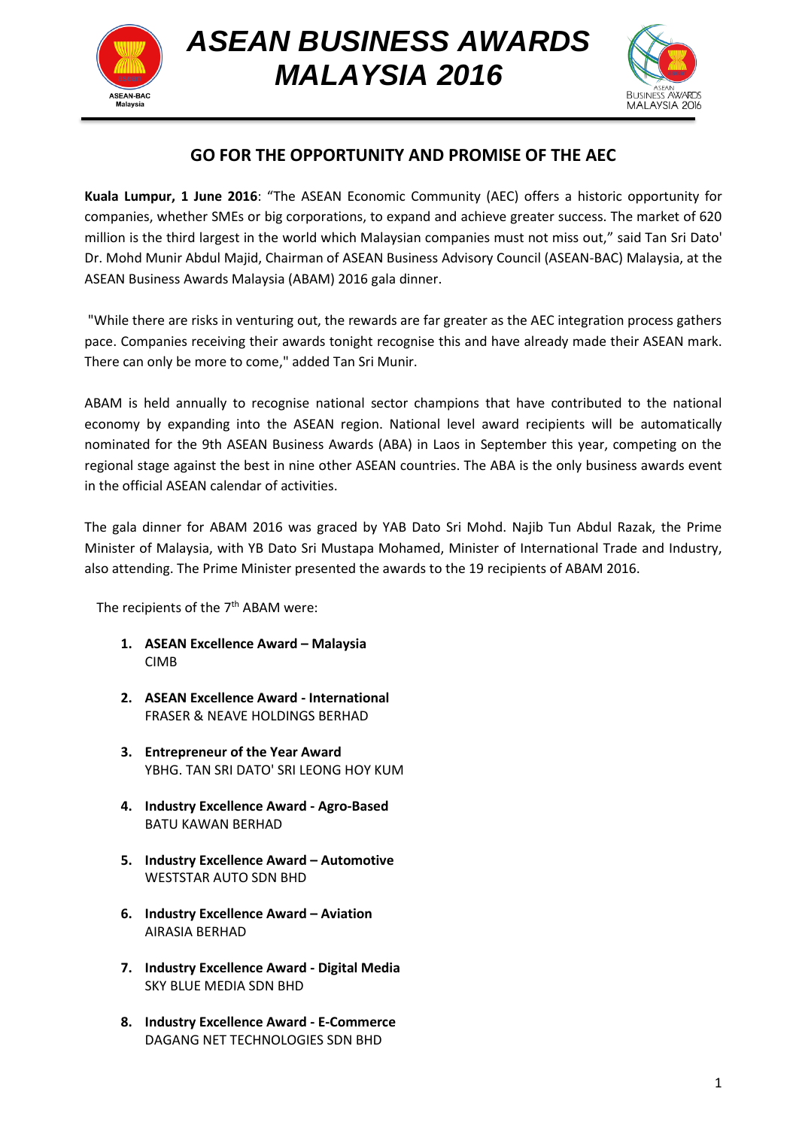

*ASEAN BUSINESS AWARDS MALAYSIA 2016*



## **GO FOR THE OPPORTUNITY AND PROMISE OF THE AEC**

**Kuala Lumpur, 1 June 2016**: "The ASEAN Economic Community (AEC) offers a historic opportunity for companies, whether SMEs or big corporations, to expand and achieve greater success. The market of 620 million is the third largest in the world which Malaysian companies must not miss out," said Tan Sri Dato' Dr. Mohd Munir Abdul Majid, Chairman of ASEAN Business Advisory Council (ASEAN-BAC) Malaysia, at the ASEAN Business Awards Malaysia (ABAM) 2016 gala dinner.

"While there are risks in venturing out, the rewards are far greater as the AEC integration process gathers pace. Companies receiving their awards tonight recognise this and have already made their ASEAN mark. There can only be more to come," added Tan Sri Munir.

ABAM is held annually to recognise national sector champions that have contributed to the national economy by expanding into the ASEAN region. National level award recipients will be automatically nominated for the 9th ASEAN Business Awards (ABA) in Laos in September this year, competing on the regional stage against the best in nine other ASEAN countries. The ABA is the only business awards event in the official ASEAN calendar of activities.

The gala dinner for ABAM 2016 was graced by YAB Dato Sri Mohd. Najib Tun Abdul Razak, the Prime Minister of Malaysia, with YB Dato Sri Mustapa Mohamed, Minister of International Trade and Industry, also attending. The Prime Minister presented the awards to the 19 recipients of ABAM 2016.

The recipients of the 7<sup>th</sup> ABAM were:

- **1. ASEAN Excellence Award – Malaysia** CIMB
- **2. ASEAN Excellence Award - International**  FRASER & NEAVE HOLDINGS BERHAD
- **3. Entrepreneur of the Year Award** YBHG. TAN SRI DATO' SRI LEONG HOY KUM
- **4. Industry Excellence Award - Agro-Based** BATU KAWAN BERHAD
- **5. Industry Excellence Award – Automotive** WESTSTAR AUTO SDN BHD
- **6. Industry Excellence Award – Aviation** AIRASIA BERHAD
- **7. Industry Excellence Award - Digital Media** SKY BLUE MEDIA SDN BHD
- **8. Industry Excellence Award - E-Commerce** DAGANG NET TECHNOLOGIES SDN BHD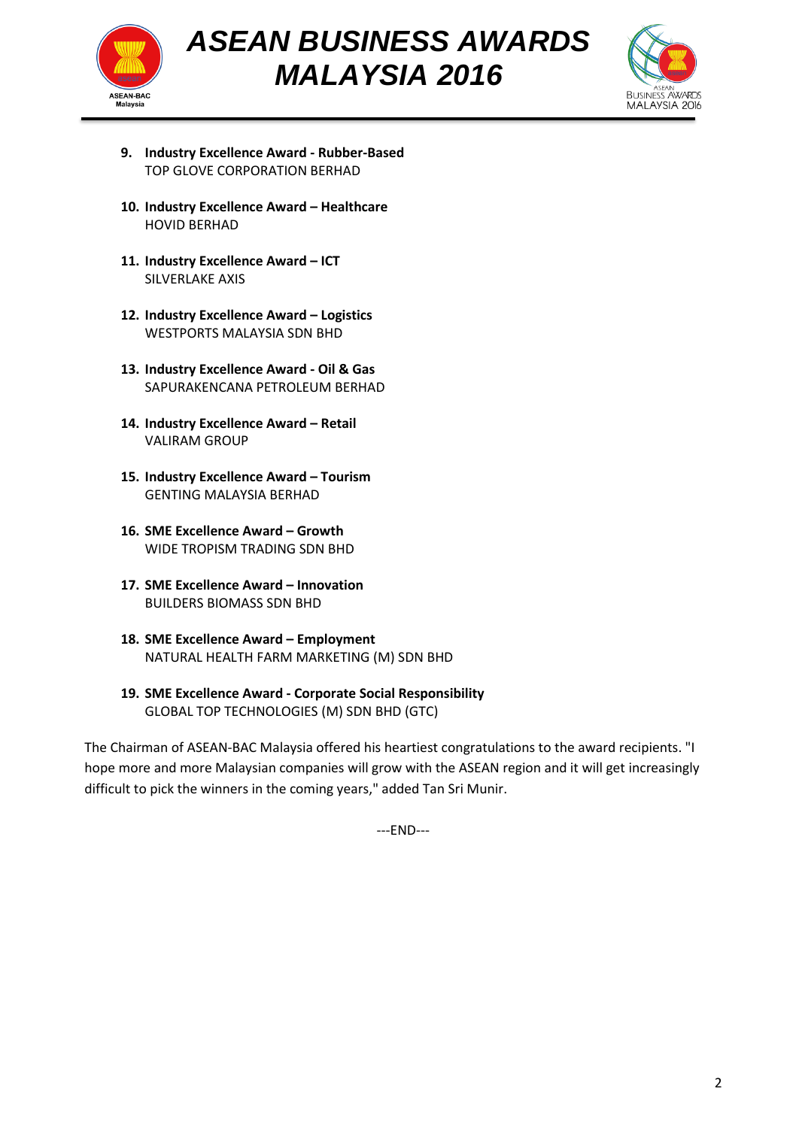



- **9. Industry Excellence Award - Rubber-Based** TOP GLOVE CORPORATION BERHAD
- **10. Industry Excellence Award – Healthcare** HOVID BERHAD
- **11. Industry Excellence Award – ICT** SILVERLAKE AXIS
- **12. Industry Excellence Award – Logistics** WESTPORTS MALAYSIA SDN BHD
- **13. Industry Excellence Award - Oil & Gas** SAPURAKENCANA PETROLEUM BERHAD
- **14. Industry Excellence Award – Retail** VALIRAM GROUP
- **15. Industry Excellence Award – Tourism** GENTING MALAYSIA BERHAD
- **16. SME Excellence Award – Growth** WIDE TROPISM TRADING SDN BHD
- **17. SME Excellence Award – Innovation** BUILDERS BIOMASS SDN BHD
- **18. SME Excellence Award – Employment** NATURAL HEALTH FARM MARKETING (M) SDN BHD
- **19. SME Excellence Award - Corporate Social Responsibility** GLOBAL TOP TECHNOLOGIES (M) SDN BHD (GTC)

The Chairman of ASEAN-BAC Malaysia offered his heartiest congratulations to the award recipients. "I hope more and more Malaysian companies will grow with the ASEAN region and it will get increasingly difficult to pick the winners in the coming years," added Tan Sri Munir.

---END---